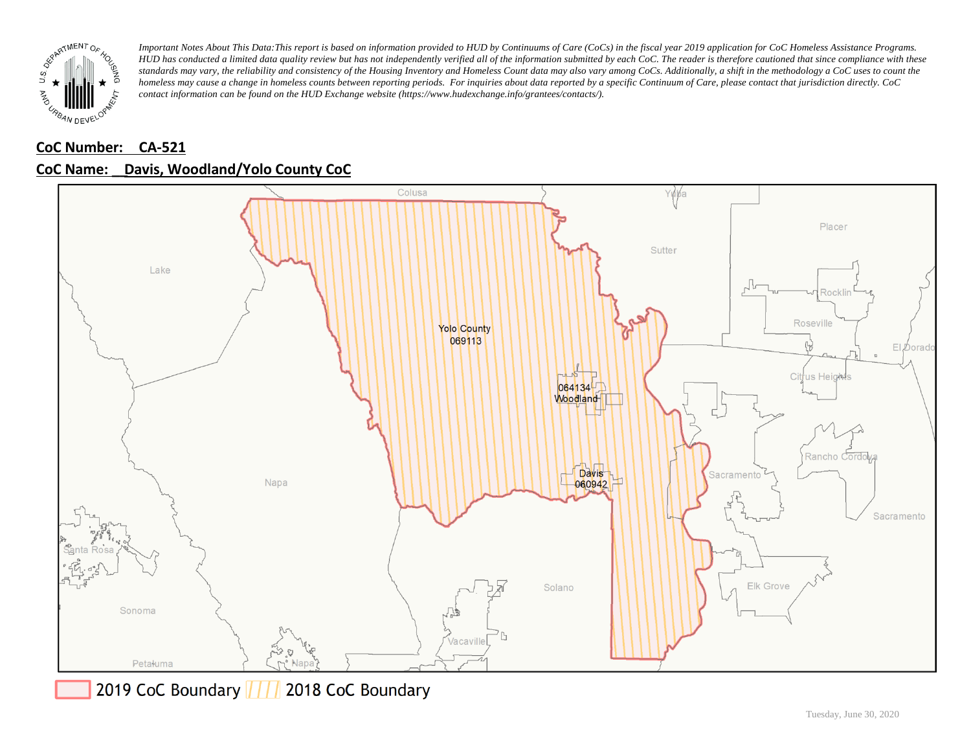

# **CoC Number: CA-521**



## **CoC Name: \_\_ Davis, Woodland/Yolo County CoC**

2019 CoC Boundary | | | 2018 CoC Boundary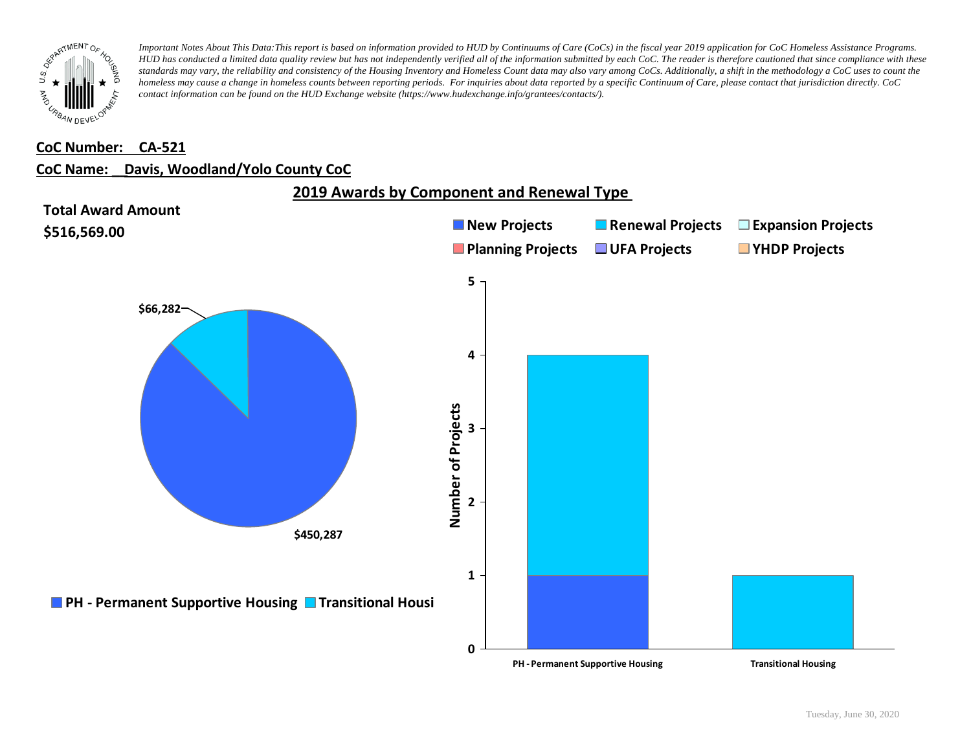

### **CoC Number: CA-521**

#### **CoC Name: \_\_ Davis, Woodland/Yolo County CoC**

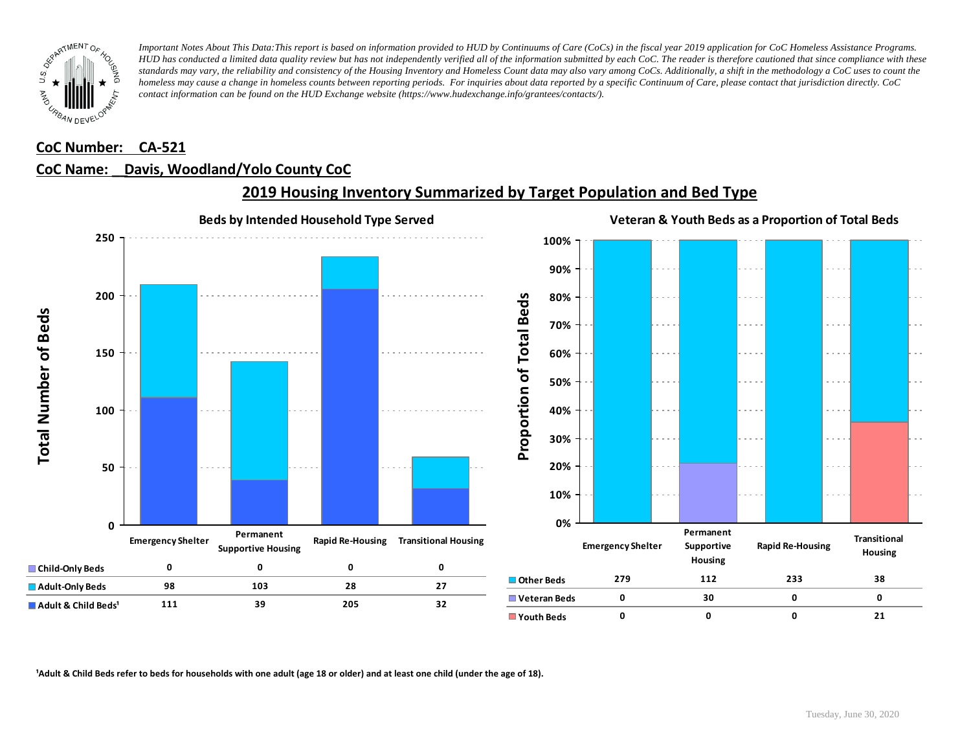

### **CoC Number: CA-521**

## **CoC Name: \_\_ Davis, Woodland/Yolo County CoC**



# **2019 Housing Inventory Summarized by Target Population and Bed Type**

<sup>1</sup> Adult & Child Beds refer to beds for households with one adult (age 18 or older) and at least one child (under the age of 18).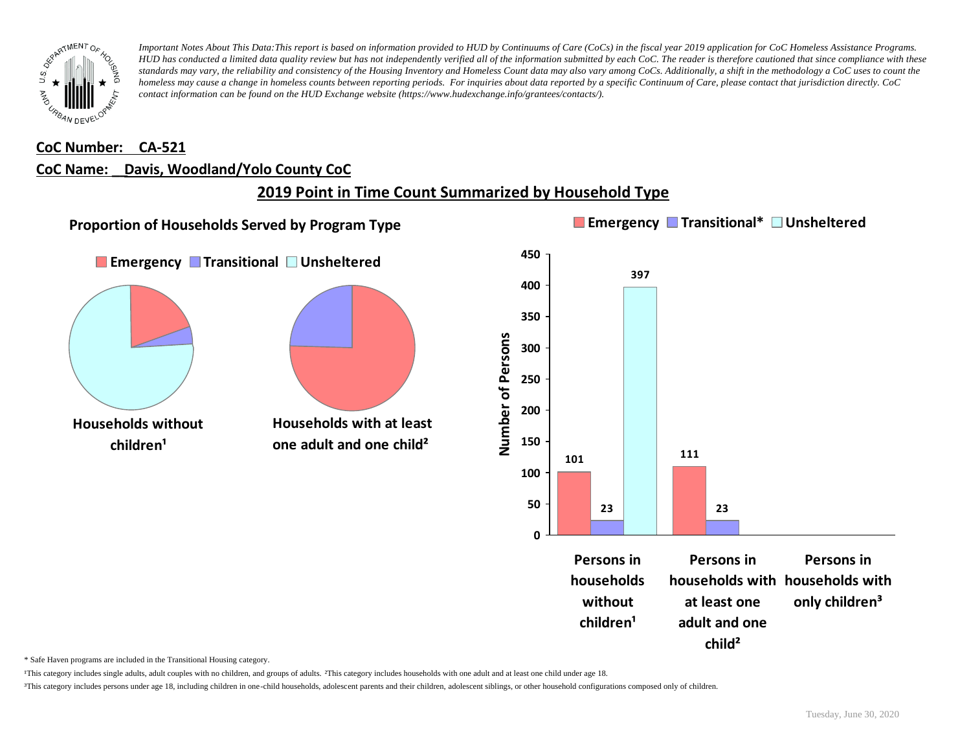

#### **CoC Number: CA-521**

#### **CoC Name: \_\_ Davis, Woodland/Yolo County CoC**

# **2019 Point in Time Count Summarized by Household Type**



\* Safe Haven programs are included in the Transitional Housing category.

¹This category includes single adults, adult couples with no children, and groups of adults. ²This category includes households with one adult and at least one child under age 18.

³This category includes persons under age 18, including children in one-child households, adolescent parents and their children, adolescent siblings, or other household configurations composed only of children.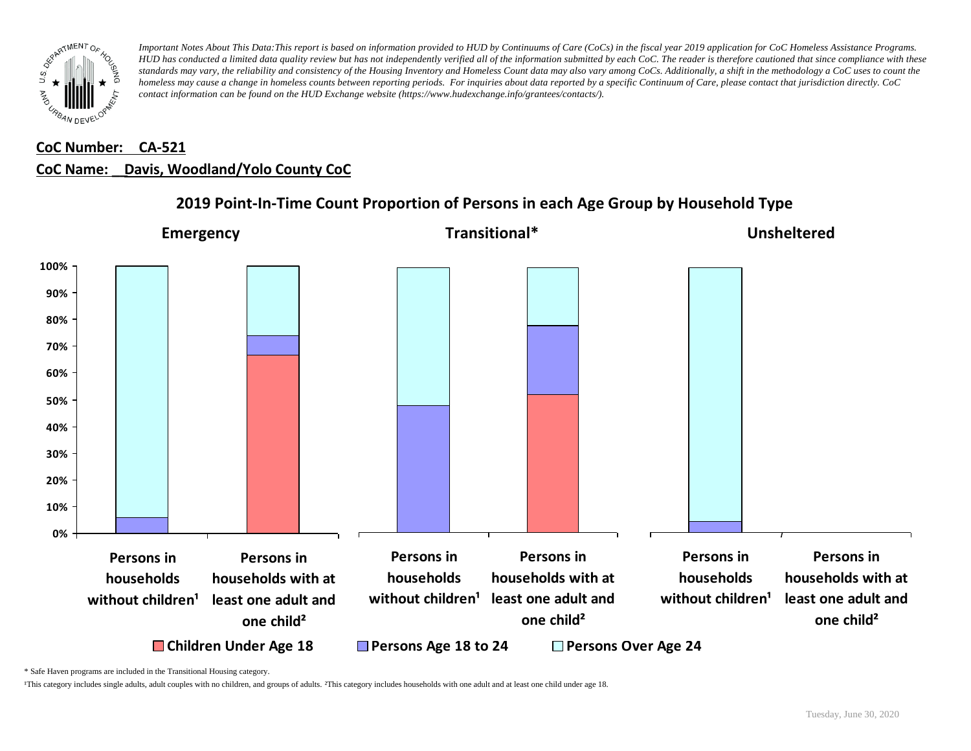

# **CoC Number: CA-521 CoC Name: \_\_ Davis, Woodland/Yolo County CoC**



# **2019 Point-In-Time Count Proportion of Persons in each Age Group by Household Type**

\* Safe Haven programs are included in the Transitional Housing category.

¹This category includes single adults, adult couples with no children, and groups of adults. ²This category includes households with one adult and at least one child under age 18.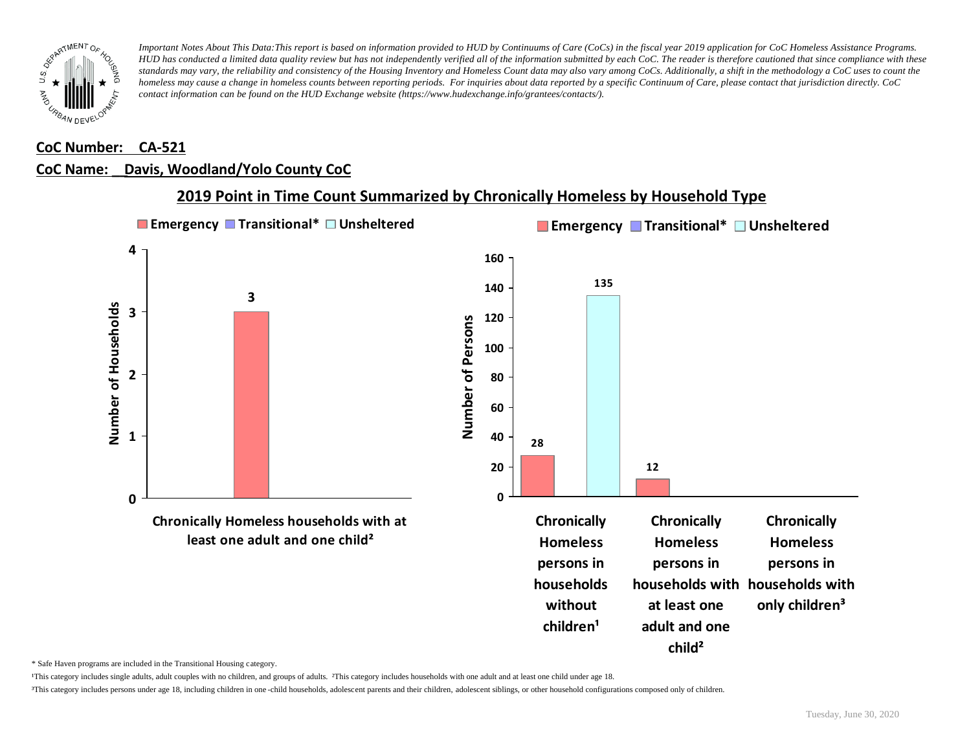

### **CoC Number: CA-521**

### **CoC Name: \_\_ Davis, Woodland/Yolo County CoC**



## **2019 Point in Time Count Summarized by Chronically Homeless by Household Type**

\* Safe Haven programs are included in the Transitional Housing category.

¹This category includes single adults, adult couples with no children, and groups of adults. ²This category includes households with one adult and at least one child under age 18.

³This category includes persons under age 18, including children in one -child households, adolescent parents and their children, adolescent siblings, or other household configurations composed only of children.